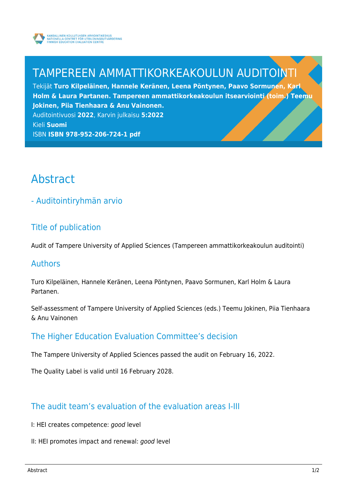

# TAMPEREEN AMMATTIKORKEAKOULUN AUDITOINTI

Tekijät **Turo Kilpeläinen, Hannele Keränen, Leena Pöntynen, Paavo Sormunen, Karl Holm & Laura Partanen. Tampereen ammattikorkeakoulun itsearviointi (toim.) Teemu Jokinen, Piia Tienhaara & Anu Vainonen.** Auditointivuosi **2022**, Karvin julkaisu **5:2022** Kieli **Suomi**

ISBN **ISBN 978-952-206-724-1 pdf**

# Abstract

- Auditointiryhmän arvio

# Title of publication

Audit of Tampere University of Applied Sciences (Tampereen ammattikorkeakoulun auditointi)

### Authors

Turo Kilpeläinen, Hannele Keränen, Leena Pöntynen, Paavo Sormunen, Karl Holm & Laura Partanen.

Self-assessment of Tampere University of Applied Sciences (eds.) Teemu Jokinen, Piia Tienhaara & Anu Vainonen

## The Higher Education Evaluation Committee's decision

The Tampere University of Applied Sciences passed the audit on February 16, 2022.

The Quality Label is valid until 16 February 2028.

## The audit team's evaluation of the evaluation areas I-III

- I: HEI creates competence: good level
- II: HEI promotes impact and renewal: good level